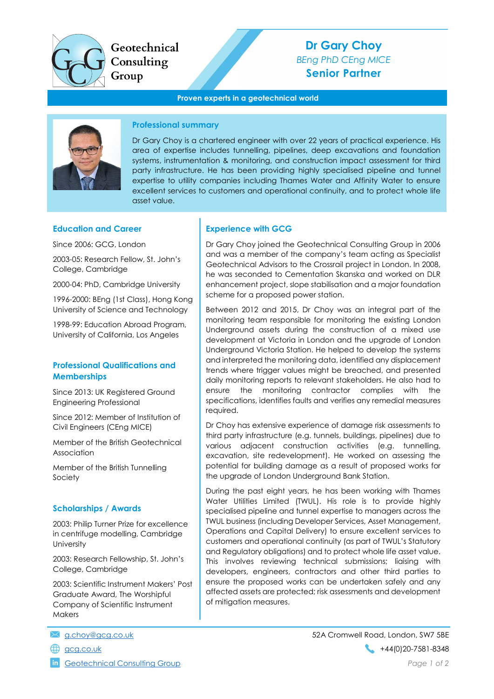

# Dr Gary Choy BEng PhD CEng MICE Senior Partner

#### Proven experts in a geotechnical world



## Professional summary

Dr Gary Choy is a chartered engineer with over 22 years of practical experience. His area of expertise includes tunnelling, pipelines, deep excavations and foundation systems, instrumentation & monitoring, and construction impact assessment for third party infrastructure. He has been providing highly specialised pipeline and tunnel expertise to utility companies including Thames Water and Affinity Water to ensure excellent services to customers and operational continuity, and to protect whole life asset value.

#### Education and Career

Since 2006: GCG, London

2003-05: Research Fellow, St. John's College, Cambridge

2000-04: PhD, Cambridge University

1996-2000: BEng (1st Class), Hong Kong University of Science and Technology

1998-99: Education Abroad Program, University of California, Los Angeles

#### Professional Qualifications and **Memberships**

Since 2013: UK Registered Ground Engineering Professional

Since 2012: Member of Institution of Civil Engineers (CEng MICE)

Member of the British Geotechnical Association

Member of the British Tunnelling Society

## Scholarships / Awards

2003: Philip Turner Prize for excellence in centrifuge modelling, Cambridge **University** 

2003: Research Fellowship, St. John's College, Cambridge

2003: Scientific Instrument Makers' Post Graduate Award, The Worshipful Company of Scientific Instrument **Makers** 

- 
- 

## Experience with GCG

Dr Gary Choy joined the Geotechnical Consulting Group in 2006 and was a member of the company's team acting as Specialist Geotechnical Advisors to the Crossrail project in London. In 2008, he was seconded to Cementation Skanska and worked on DLR enhancement project, slope stabilisation and a major foundation scheme for a proposed power station.

Between 2012 and 2015, Dr Choy was an integral part of the monitoring team responsible for monitoring the existing London Underground assets during the construction of a mixed use development at Victoria in London and the upgrade of London Underground Victoria Station. He helped to develop the systems and interpreted the monitoring data, identified any displacement trends where trigger values might be breached, and presented daily monitoring reports to relevant stakeholders. He also had to ensure the monitoring contractor complies with the specifications, identifies faults and verifies any remedial measures required.

Dr Choy has extensive experience of damage risk assessments to third party infrastructure (e.g. tunnels, buildings, pipelines) due to various adjacent construction activities (e.g. tunnelling, excavation, site redevelopment). He worked on assessing the potential for building damage as a result of proposed works for the upgrade of London Underground Bank Station.

During the past eight years, he has been working with Thames Water Utilities Limited (TWUL). His role is to provide highly specialised pipeline and tunnel expertise to managers across the TWUL business (including Developer Services, Asset Management, Operations and Capital Delivery) to ensure excellent services to customers and operational continuity (as part of TWUL's Statutory and Regulatory obligations) and to protect whole life asset value. This involves reviewing technical submissions; liaising with developers, engineers, contractors and other third parties to ensure the proposed works can be undertaken safely and any affected assets are protected; risk assessments and development of mitigation measures.